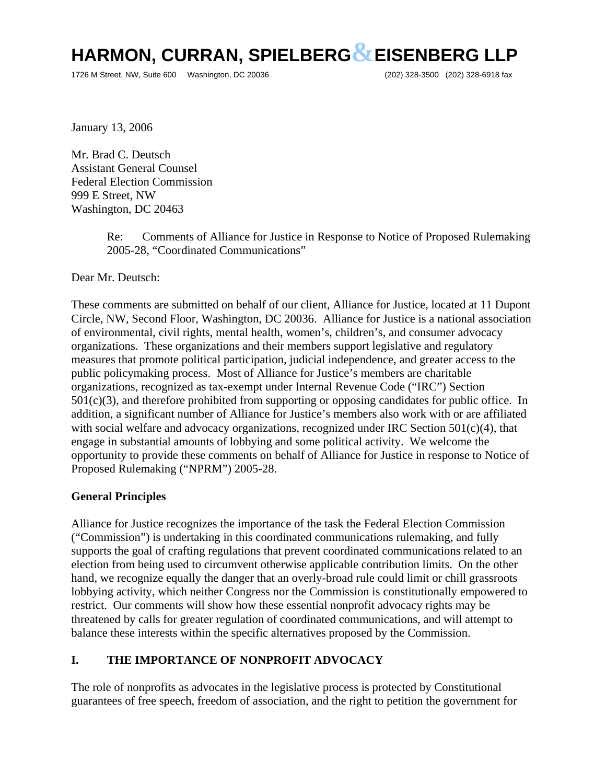1726 M Street, NW, Suite 600 Washington, DC 20036 (202) 328-3500 (202) 328-6918 fax

January 13, 2006

Mr. Brad C. Deutsch Assistant General Counsel Federal Election Commission 999 E Street, NW Washington, DC 20463

> Re: Comments of Alliance for Justice in Response to Notice of Proposed Rulemaking 2005-28, "Coordinated Communications"

Dear Mr. Deutsch:

These comments are submitted on behalf of our client, Alliance for Justice, located at 11 Dupont Circle, NW, Second Floor, Washington, DC 20036. Alliance for Justice is a national association of environmental, civil rights, mental health, women's, children's, and consumer advocacy organizations. These organizations and their members support legislative and regulatory measures that promote political participation, judicial independence, and greater access to the public policymaking process. Most of Alliance for Justice's members are charitable organizations, recognized as tax-exempt under Internal Revenue Code ("IRC") Section  $501(c)(3)$ , and therefore prohibited from supporting or opposing candidates for public office. In addition, a significant number of Alliance for Justice's members also work with or are affiliated with social welfare and advocacy organizations, recognized under IRC Section  $501(c)(4)$ , that engage in substantial amounts of lobbying and some political activity. We welcome the opportunity to provide these comments on behalf of Alliance for Justice in response to Notice of Proposed Rulemaking ("NPRM") 2005-28.

#### **General Principles**

Alliance for Justice recognizes the importance of the task the Federal Election Commission ("Commission") is undertaking in this coordinated communications rulemaking, and fully supports the goal of crafting regulations that prevent coordinated communications related to an election from being used to circumvent otherwise applicable contribution limits. On the other hand, we recognize equally the danger that an overly-broad rule could limit or chill grassroots lobbying activity, which neither Congress nor the Commission is constitutionally empowered to restrict. Our comments will show how these essential nonprofit advocacy rights may be threatened by calls for greater regulation of coordinated communications, and will attempt to balance these interests within the specific alternatives proposed by the Commission.

#### **I. THE IMPORTANCE OF NONPROFIT ADVOCACY**

The role of nonprofits as advocates in the legislative process is protected by Constitutional guarantees of free speech, freedom of association, and the right to petition the government for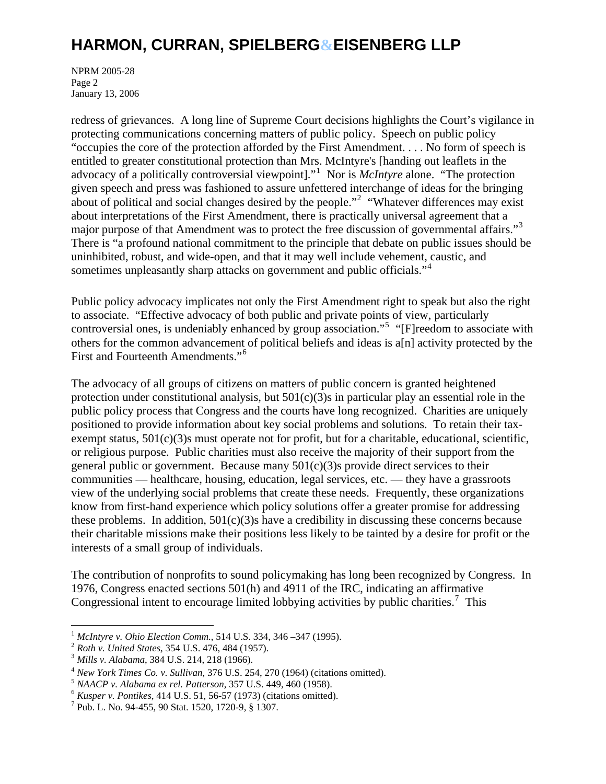NPRM 2005-28 Page 2 January 13, 2006

redress of grievances. A long line of Supreme Court decisions highlights the Court's vigilance in protecting communications concerning matters of public policy. Speech on public policy "occupies the core of the protection afforded by the First Amendment. . . . No form of speech is entitled to greater constitutional protection than Mrs. McIntyre's [handing out leaflets in the advocacy of a politically controversial viewpoint]."<sup>[1](#page-1-0)</sup> Nor is *McIntyre* alone. "The protection given speech and press was fashioned to assure unfettered interchange of ideas for the bringing about of political and social changes desired by the people."<sup>[2](#page-1-1)</sup> "Whatever differences may exist about interpretations of the First Amendment, there is practically universal agreement that a major purpose of that Amendment was to protect the free discussion of governmental affairs."<sup>[3](#page-1-2)</sup> There is "a profound national commitment to the principle that debate on public issues should be uninhibited, robust, and wide-open, and that it may well include vehement, caustic, and sometimes unpleasantly sharp attacks on government and public officials."<sup>[4](#page-1-3)</sup>

Public policy advocacy implicates not only the First Amendment right to speak but also the right to associate. "Effective advocacy of both public and private points of view, particularly controversial ones, is undeniably enhanced by group association."[5](#page-1-4) "[F]reedom to associate with others for the common advancement of political beliefs and ideas is a[n] activity protected by the First and Fourteenth Amendments."<sup>[6](#page-1-5)</sup>

The advocacy of all groups of citizens on matters of public concern is granted heightened protection under constitutional analysis, but  $501(c)(3)$ s in particular play an essential role in the public policy process that Congress and the courts have long recognized. Charities are uniquely positioned to provide information about key social problems and solutions. To retain their taxexempt status,  $501(c)(3)$ s must operate not for profit, but for a charitable, educational, scientific, or religious purpose. Public charities must also receive the majority of their support from the general public or government. Because many  $501(c)(3)$ s provide direct services to their communities — healthcare, housing, education, legal services, etc. — they have a grassroots view of the underlying social problems that create these needs. Frequently, these organizations know from first-hand experience which policy solutions offer a greater promise for addressing these problems. In addition,  $501(c)(3)$ s have a credibility in discussing these concerns because their charitable missions make their positions less likely to be tainted by a desire for profit or the interests of a small group of individuals.

The contribution of nonprofits to sound policymaking has long been recognized by Congress. In 1976, Congress enacted sections 501(h) and 4911 of the IRC, indicating an affirmative Congressional intent to encourage limited lobbying activities by public charities.<sup>[7](#page-1-6)</sup> This

 $\overline{a}$ 

<span id="page-1-1"></span>

<span id="page-1-2"></span>

<span id="page-1-0"></span><sup>&</sup>lt;sup>1</sup> McIntyre v. Ohio Election Comm., 514 U.S. 334, 346 –347 (1995).<br>
<sup>2</sup> Roth v. United States, 354 U.S. 476, 484 (1957).<br>
<sup>3</sup> Mills v. Alabama, 384 U.S. 214, 218 (1966).<br>
<sup>4</sup> New York Times Co. v. Sullivan, 376 U.S. 254,

<span id="page-1-4"></span><span id="page-1-3"></span>

<span id="page-1-5"></span>

<span id="page-1-6"></span> $^7$  Pub. L. No. 94-455, 90 Stat. 1520, 1720-9, § 1307.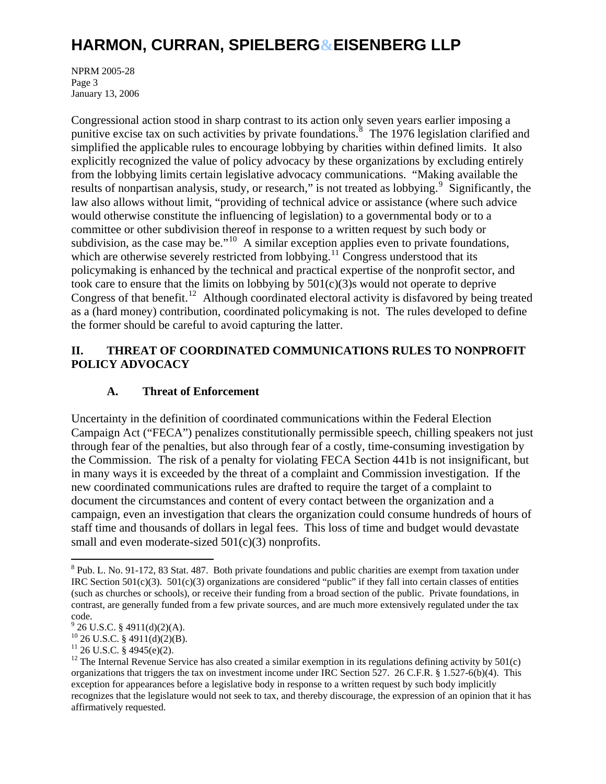NPRM 2005-28 Page 3 January 13, 2006

Congressional action stood in sharp contrast to its action only seven years earlier imposing a punitive excise tax on such activities by private foundations.<sup>[8](#page-2-0)</sup> The 1976 legislation clarified and simplified the applicable rules to encourage lobbying by charities within defined limits. It also explicitly recognized the value of policy advocacy by these organizations by excluding entirely from the lobbying limits certain legislative advocacy communications. "Making available the results of nonpartisan analysis, study, or research," is not treated as lobbying. <sup>[9](#page-2-1)</sup> Significantly, the law also allows without limit, "providing of technical advice or assistance (where such advice would otherwise constitute the influencing of legislation) to a governmental body or to a committee or other subdivision thereof in response to a written request by such body or subdivision, as the case may be."<sup>[10](#page-2-2)</sup> A similar exception applies even to private foundations, which are otherwise severely restricted from lobbying.<sup>[11](#page-2-3)</sup> Congress understood that its policymaking is enhanced by the technical and practical expertise of the nonprofit sector, and took care to ensure that the limits on lobbying by 501(c)(3)s would not operate to deprive Congress of that benefit.<sup>[12](#page-2-4)</sup> Although coordinated electoral activity is disfavored by being treated as a (hard money) contribution, coordinated policymaking is not. The rules developed to define the former should be careful to avoid capturing the latter.

#### **II. THREAT OF COORDINATED COMMUNICATIONS RULES TO NONPROFIT POLICY ADVOCACY**

### **A. Threat of Enforcement**

Uncertainty in the definition of coordinated communications within the Federal Election Campaign Act ("FECA") penalizes constitutionally permissible speech, chilling speakers not just through fear of the penalties, but also through fear of a costly, time-consuming investigation by the Commission. The risk of a penalty for violating FECA Section 441b is not insignificant, but in many ways it is exceeded by the threat of a complaint and Commission investigation. If the new coordinated communications rules are drafted to require the target of a complaint to document the circumstances and content of every contact between the organization and a campaign, even an investigation that clears the organization could consume hundreds of hours of staff time and thousands of dollars in legal fees. This loss of time and budget would devastate small and even moderate-sized 501(c)(3) nonprofits.

<span id="page-2-0"></span><sup>&</sup>lt;sup>8</sup> Pub. L. No. 91-172, 83 Stat. 487. Both private foundations and public charities are exempt from taxation under IRC Section 501(c)(3). 501(c)(3) organizations are considered "public" if they fall into certain classes of entities (such as churches or schools), or receive their funding from a broad section of the public. Private foundations, in contrast, are generally funded from a few private sources, and are much more extensively regulated under the tax code.

 $9^9$  26 U.S.C. § 4911(d)(2)(A).

<span id="page-2-2"></span><span id="page-2-1"></span> $^{10}$  26 U.S.C. § 4911(d)(2)(B).

<span id="page-2-3"></span> $11$  26 U.S.C. § 4945(e)(2).

<span id="page-2-4"></span><sup>&</sup>lt;sup>12</sup> The Internal Revenue Service has also created a similar exemption in its regulations defining activity by  $501(c)$ organizations that triggers the tax on investment income under IRC Section 527. 26 C.F.R. § 1.527-6(b)(4). This exception for appearances before a legislative body in response to a written request by such body implicitly recognizes that the legislature would not seek to tax, and thereby discourage, the expression of an opinion that it has affirmatively requested.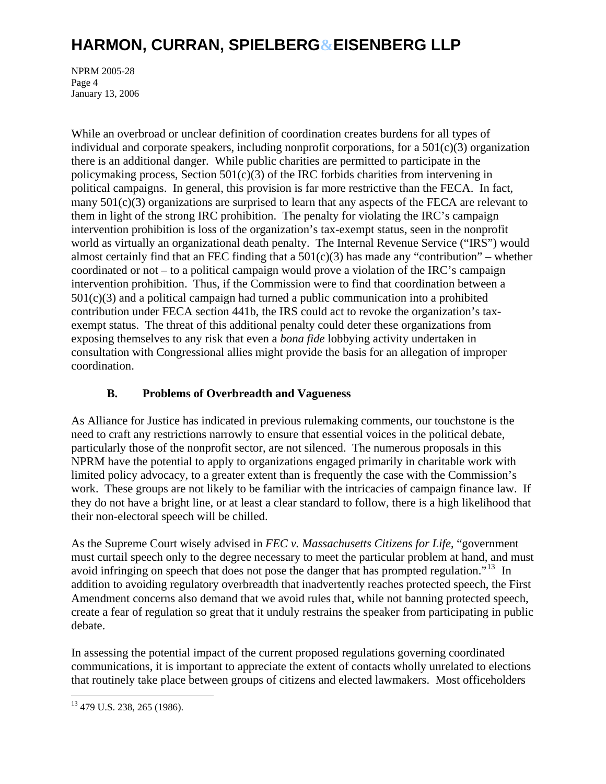NPRM 2005-28 Page 4 January 13, 2006

While an overbroad or unclear definition of coordination creates burdens for all types of individual and corporate speakers, including nonprofit corporations, for a  $501(c)(3)$  organization there is an additional danger. While public charities are permitted to participate in the policymaking process, Section 501(c)(3) of the IRC forbids charities from intervening in political campaigns. In general, this provision is far more restrictive than the FECA. In fact, many  $501(c)(3)$  organizations are surprised to learn that any aspects of the FECA are relevant to them in light of the strong IRC prohibition. The penalty for violating the IRC's campaign intervention prohibition is loss of the organization's tax-exempt status, seen in the nonprofit world as virtually an organizational death penalty. The Internal Revenue Service ("IRS") would almost certainly find that an FEC finding that a  $501(c)(3)$  has made any "contribution" – whether coordinated or not – to a political campaign would prove a violation of the IRC's campaign intervention prohibition. Thus, if the Commission were to find that coordination between a  $501(c)(3)$  and a political campaign had turned a public communication into a prohibited contribution under FECA section 441b, the IRS could act to revoke the organization's taxexempt status. The threat of this additional penalty could deter these organizations from exposing themselves to any risk that even a *bona fide* lobbying activity undertaken in consultation with Congressional allies might provide the basis for an allegation of improper coordination.

#### **B. Problems of Overbreadth and Vagueness**

As Alliance for Justice has indicated in previous rulemaking comments, our touchstone is the need to craft any restrictions narrowly to ensure that essential voices in the political debate, particularly those of the nonprofit sector, are not silenced. The numerous proposals in this NPRM have the potential to apply to organizations engaged primarily in charitable work with limited policy advocacy, to a greater extent than is frequently the case with the Commission's work. These groups are not likely to be familiar with the intricacies of campaign finance law. If they do not have a bright line, or at least a clear standard to follow, there is a high likelihood that their non-electoral speech will be chilled.

As the Supreme Court wisely advised in *FEC v. Massachusetts Citizens for Life*, "government must curtail speech only to the degree necessary to meet the particular problem at hand, and must avoid infringing on speech that does not pose the danger that has prompted regulation."<sup>[13](#page-3-0)</sup> In addition to avoiding regulatory overbreadth that inadvertently reaches protected speech, the First Amendment concerns also demand that we avoid rules that, while not banning protected speech, create a fear of regulation so great that it unduly restrains the speaker from participating in public debate.

In assessing the potential impact of the current proposed regulations governing coordinated communications, it is important to appreciate the extent of contacts wholly unrelated to elections that routinely take place between groups of citizens and elected lawmakers. Most officeholders

<span id="page-3-0"></span><sup>13 479</sup> U.S. 238, 265 (1986).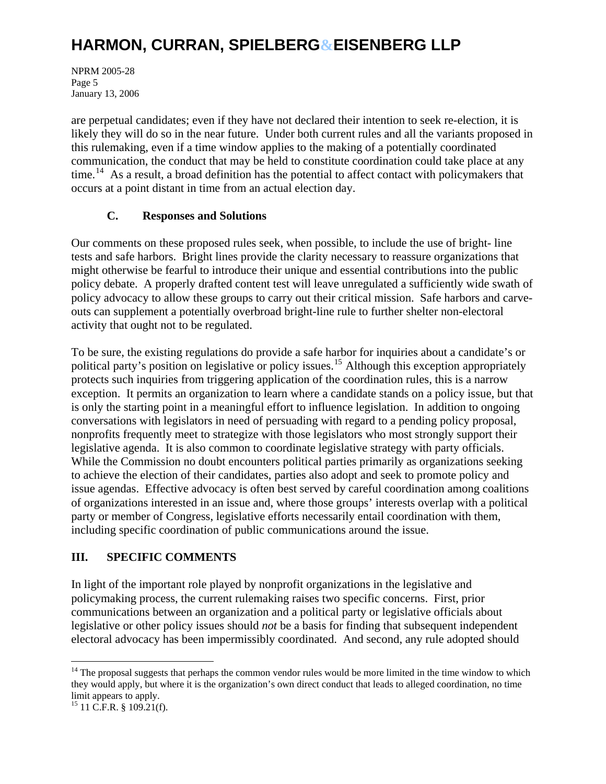NPRM 2005-28 Page 5 January 13, 2006

are perpetual candidates; even if they have not declared their intention to seek re-election, it is likely they will do so in the near future. Under both current rules and all the variants proposed in this rulemaking, even if a time window applies to the making of a potentially coordinated communication, the conduct that may be held to constitute coordination could take place at any time.<sup>[14](#page-4-0)</sup> As a result, a broad definition has the potential to affect contact with policymakers that occurs at a point distant in time from an actual election day.

#### **C. Responses and Solutions**

Our comments on these proposed rules seek, when possible, to include the use of bright- line tests and safe harbors. Bright lines provide the clarity necessary to reassure organizations that might otherwise be fearful to introduce their unique and essential contributions into the public policy debate. A properly drafted content test will leave unregulated a sufficiently wide swath of policy advocacy to allow these groups to carry out their critical mission. Safe harbors and carveouts can supplement a potentially overbroad bright-line rule to further shelter non-electoral activity that ought not to be regulated.

To be sure, the existing regulations do provide a safe harbor for inquiries about a candidate's or political party's position on legislative or policy issues.<sup>[15](#page-4-1)</sup> Although this exception appropriately protects such inquiries from triggering application of the coordination rules, this is a narrow exception. It permits an organization to learn where a candidate stands on a policy issue, but that is only the starting point in a meaningful effort to influence legislation. In addition to ongoing conversations with legislators in need of persuading with regard to a pending policy proposal, nonprofits frequently meet to strategize with those legislators who most strongly support their legislative agenda. It is also common to coordinate legislative strategy with party officials. While the Commission no doubt encounters political parties primarily as organizations seeking to achieve the election of their candidates, parties also adopt and seek to promote policy and issue agendas. Effective advocacy is often best served by careful coordination among coalitions of organizations interested in an issue and, where those groups' interests overlap with a political party or member of Congress, legislative efforts necessarily entail coordination with them, including specific coordination of public communications around the issue.

### **III. SPECIFIC COMMENTS**

In light of the important role played by nonprofit organizations in the legislative and policymaking process, the current rulemaking raises two specific concerns. First, prior communications between an organization and a political party or legislative officials about legislative or other policy issues should *not* be a basis for finding that subsequent independent electoral advocacy has been impermissibly coordinated. And second, any rule adopted should

<span id="page-4-0"></span><sup>&</sup>lt;sup>14</sup> The proposal suggests that perhaps the common vendor rules would be more limited in the time window to which they would apply, but where it is the organization's own direct conduct that leads to alleged coordination, no time limit appears to apply.

<span id="page-4-1"></span> $15$  11 C.F.R. § 109.21(f).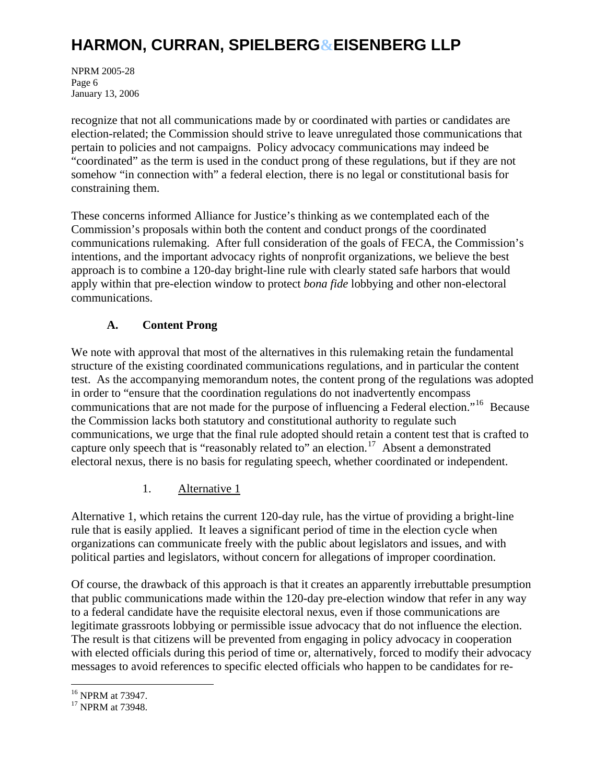NPRM 2005-28 Page 6 January 13, 2006

recognize that not all communications made by or coordinated with parties or candidates are election-related; the Commission should strive to leave unregulated those communications that pertain to policies and not campaigns. Policy advocacy communications may indeed be "coordinated" as the term is used in the conduct prong of these regulations, but if they are not somehow "in connection with" a federal election, there is no legal or constitutional basis for constraining them.

These concerns informed Alliance for Justice's thinking as we contemplated each of the Commission's proposals within both the content and conduct prongs of the coordinated communications rulemaking. After full consideration of the goals of FECA, the Commission's intentions, and the important advocacy rights of nonprofit organizations, we believe the best approach is to combine a 120-day bright-line rule with clearly stated safe harbors that would apply within that pre-election window to protect *bona fide* lobbying and other non-electoral communications.

### **A. Content Prong**

We note with approval that most of the alternatives in this rulemaking retain the fundamental structure of the existing coordinated communications regulations, and in particular the content test. As the accompanying memorandum notes, the content prong of the regulations was adopted in order to "ensure that the coordination regulations do not inadvertently encompass communications that are not made for the purpose of influencing a Federal election."<sup>[16](#page-5-0)</sup> Because the Commission lacks both statutory and constitutional authority to regulate such communications, we urge that the final rule adopted should retain a content test that is crafted to capture only speech that is "reasonably related to" an election.<sup>[17](#page-5-1)</sup> Absent a demonstrated electoral nexus, there is no basis for regulating speech, whether coordinated or independent.

#### 1. Alternative 1

Alternative 1, which retains the current 120-day rule, has the virtue of providing a bright-line rule that is easily applied. It leaves a significant period of time in the election cycle when organizations can communicate freely with the public about legislators and issues, and with political parties and legislators, without concern for allegations of improper coordination.

Of course, the drawback of this approach is that it creates an apparently irrebuttable presumption that public communications made within the 120-day pre-election window that refer in any way to a federal candidate have the requisite electoral nexus, even if those communications are legitimate grassroots lobbying or permissible issue advocacy that do not influence the election. The result is that citizens will be prevented from engaging in policy advocacy in cooperation with elected officials during this period of time or, alternatively, forced to modify their advocacy messages to avoid references to specific elected officials who happen to be candidates for re-

<span id="page-5-0"></span><sup>16</sup> NPRM at 73947.

<span id="page-5-1"></span><sup>&</sup>lt;sup>17</sup> NPRM at 73948.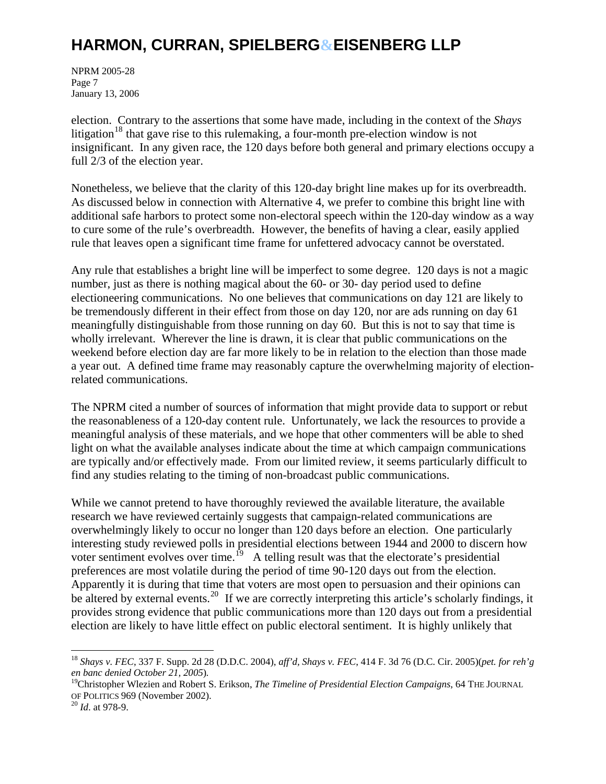NPRM 2005-28 Page 7 January 13, 2006

election. Contrary to the assertions that some have made, including in the context of the *Shays* litigation<sup>[18](#page-6-0)</sup> that gave rise to this rulemaking, a four-month pre-election window is not insignificant. In any given race, the 120 days before both general and primary elections occupy a full 2/3 of the election year.

Nonetheless, we believe that the clarity of this 120-day bright line makes up for its overbreadth. As discussed below in connection with Alternative 4, we prefer to combine this bright line with additional safe harbors to protect some non-electoral speech within the 120-day window as a way to cure some of the rule's overbreadth. However, the benefits of having a clear, easily applied rule that leaves open a significant time frame for unfettered advocacy cannot be overstated.

Any rule that establishes a bright line will be imperfect to some degree. 120 days is not a magic number, just as there is nothing magical about the 60- or 30- day period used to define electioneering communications. No one believes that communications on day 121 are likely to be tremendously different in their effect from those on day 120, nor are ads running on day 61 meaningfully distinguishable from those running on day 60. But this is not to say that time is wholly irrelevant. Wherever the line is drawn, it is clear that public communications on the weekend before election day are far more likely to be in relation to the election than those made a year out. A defined time frame may reasonably capture the overwhelming majority of electionrelated communications.

The NPRM cited a number of sources of information that might provide data to support or rebut the reasonableness of a 120-day content rule. Unfortunately, we lack the resources to provide a meaningful analysis of these materials, and we hope that other commenters will be able to shed light on what the available analyses indicate about the time at which campaign communications are typically and/or effectively made. From our limited review, it seems particularly difficult to find any studies relating to the timing of non-broadcast public communications.

While we cannot pretend to have thoroughly reviewed the available literature, the available research we have reviewed certainly suggests that campaign-related communications are overwhelmingly likely to occur no longer than 120 days before an election. One particularly interesting study reviewed polls in presidential elections between 1944 and 2000 to discern how voter sentiment evolves over time.<sup>[19](#page-6-1)</sup> A telling result was that the electorate's presidential preferences are most volatile during the period of time 90-120 days out from the election. Apparently it is during that time that voters are most open to persuasion and their opinions can be altered by external events.<sup>[20](#page-6-2)</sup> If we are correctly interpreting this article's scholarly findings, it provides strong evidence that public communications more than 120 days out from a presidential election are likely to have little effect on public electoral sentiment. It is highly unlikely that

<span id="page-6-0"></span><sup>18</sup> *Shays v. FEC*, 337 F. Supp. 2d 28 (D.D.C. 2004), *aff'd, Shays v. FEC*, 414 F. 3d 76 (D.C. Cir. 2005)(*pet. for reh'g en banc denied October 21, 2005*).<br><sup>19</sup>Christopher Wlezien and Robert S. Erikson, *The Timeline of Presidential Election Campaigns*, 64 THE JOURNAL

<span id="page-6-1"></span>OF POLITICS 969 (November 2002). 20 *Id*. at 978-9.

<span id="page-6-2"></span>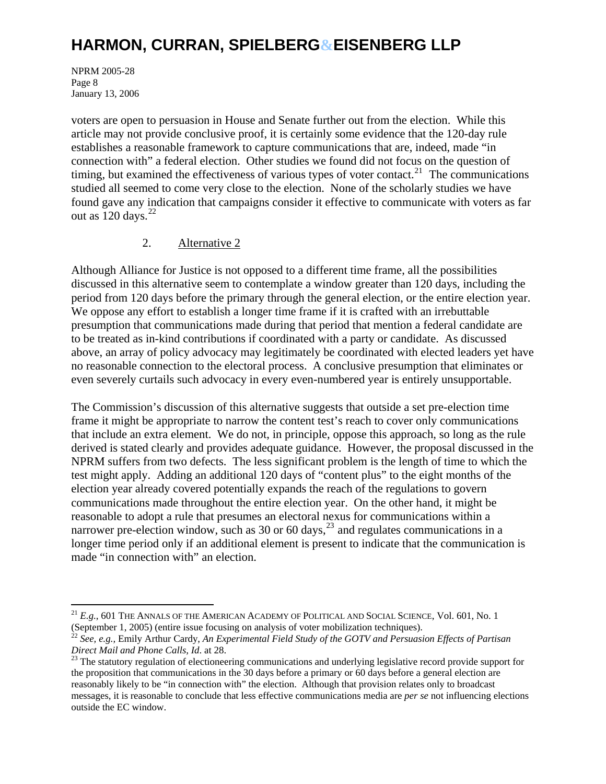NPRM 2005-28 Page 8 January 13, 2006

 $\overline{a}$ 

voters are open to persuasion in House and Senate further out from the election. While this article may not provide conclusive proof, it is certainly some evidence that the 120-day rule establishes a reasonable framework to capture communications that are, indeed, made "in connection with" a federal election. Other studies we found did not focus on the question of timing, but examined the effectiveness of various types of voter contact.<sup>[21](#page-7-0)</sup> The communications studied all seemed to come very close to the election. None of the scholarly studies we have found gave any indication that campaigns consider it effective to communicate with voters as far out as  $120 \text{ days.}^{22}$  $120 \text{ days.}^{22}$  $120 \text{ days.}^{22}$ 

#### 2. Alternative 2

Although Alliance for Justice is not opposed to a different time frame, all the possibilities discussed in this alternative seem to contemplate a window greater than 120 days, including the period from 120 days before the primary through the general election, or the entire election year. We oppose any effort to establish a longer time frame if it is crafted with an irrebuttable presumption that communications made during that period that mention a federal candidate are to be treated as in-kind contributions if coordinated with a party or candidate. As discussed above, an array of policy advocacy may legitimately be coordinated with elected leaders yet have no reasonable connection to the electoral process. A conclusive presumption that eliminates or even severely curtails such advocacy in every even-numbered year is entirely unsupportable.

The Commission's discussion of this alternative suggests that outside a set pre-election time frame it might be appropriate to narrow the content test's reach to cover only communications that include an extra element. We do not, in principle, oppose this approach, so long as the rule derived is stated clearly and provides adequate guidance. However, the proposal discussed in the NPRM suffers from two defects. The less significant problem is the length of time to which the test might apply. Adding an additional 120 days of "content plus" to the eight months of the election year already covered potentially expands the reach of the regulations to govern communications made throughout the entire election year. On the other hand, it might be reasonable to adopt a rule that presumes an electoral nexus for communications within a narrower pre-election window, such as 30 or 60 days,  $^{23}$  $^{23}$  $^{23}$  and regulates communications in a longer time period only if an additional element is present to indicate that the communication is made "in connection with" an election.

 $^{21}$   $E.g.,$  601 The Annals of the American Academy of Political and Social Science, Vol. 601, No. 1

<span id="page-7-1"></span><span id="page-7-0"></span><sup>(</sup>September 1, 2005) (entire issue focusing on analysis of voter mobilization techniques).<br><sup>22</sup> *See, e.g.,* Emily Arthur Cardy, *An Experimental Field Study of the GOTV and Persuasion Effects of Partisan Direct Mail and* 

<span id="page-7-2"></span><sup>&</sup>lt;sup>23</sup> The statutory regulation of electioneering communications and underlying legislative record provide support for the proposition that communications in the 30 days before a primary or 60 days before a general election are reasonably likely to be "in connection with" the election. Although that provision relates only to broadcast messages, it is reasonable to conclude that less effective communications media are *per se* not influencing elections outside the EC window.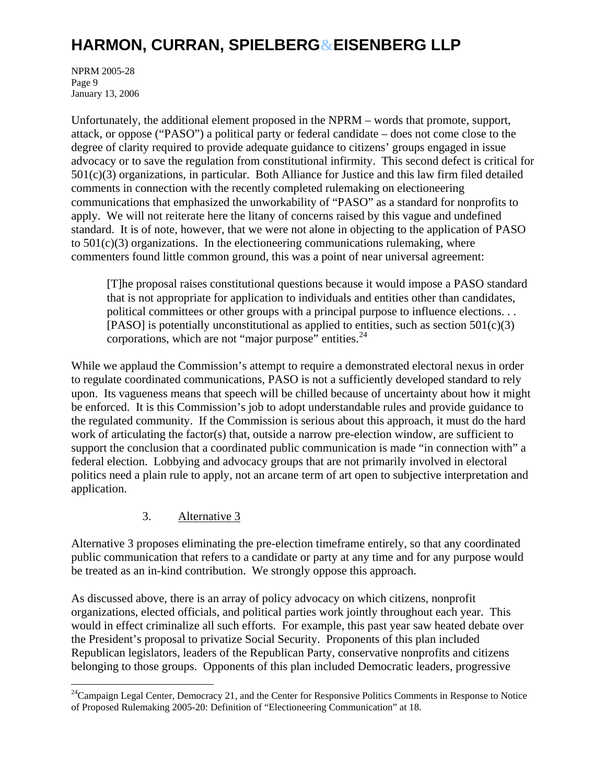NPRM 2005-28 Page 9 January 13, 2006

Unfortunately, the additional element proposed in the NPRM – words that promote, support, attack, or oppose ("PASO") a political party or federal candidate – does not come close to the degree of clarity required to provide adequate guidance to citizens' groups engaged in issue advocacy or to save the regulation from constitutional infirmity. This second defect is critical for 501(c)(3) organizations, in particular. Both Alliance for Justice and this law firm filed detailed comments in connection with the recently completed rulemaking on electioneering communications that emphasized the unworkability of "PASO" as a standard for nonprofits to apply. We will not reiterate here the litany of concerns raised by this vague and undefined standard. It is of note, however, that we were not alone in objecting to the application of PASO to  $501(c)(3)$  organizations. In the electioneering communications rulemaking, where commenters found little common ground, this was a point of near universal agreement:

[T]he proposal raises constitutional questions because it would impose a PASO standard that is not appropriate for application to individuals and entities other than candidates, political committees or other groups with a principal purpose to influence elections. . . [PASO] is potentially unconstitutional as applied to entities, such as section  $501(c)(3)$ corporations, which are not "major purpose" entities. $24$ 

While we applaud the Commission's attempt to require a demonstrated electoral nexus in order to regulate coordinated communications, PASO is not a sufficiently developed standard to rely upon. Its vagueness means that speech will be chilled because of uncertainty about how it might be enforced. It is this Commission's job to adopt understandable rules and provide guidance to the regulated community. If the Commission is serious about this approach, it must do the hard work of articulating the factor(s) that, outside a narrow pre-election window, are sufficient to support the conclusion that a coordinated public communication is made "in connection with" a federal election. Lobbying and advocacy groups that are not primarily involved in electoral politics need a plain rule to apply, not an arcane term of art open to subjective interpretation and application.

3. Alternative 3

 $\overline{a}$ 

Alternative 3 proposes eliminating the pre-election timeframe entirely, so that any coordinated public communication that refers to a candidate or party at any time and for any purpose would be treated as an in-kind contribution. We strongly oppose this approach.

As discussed above, there is an array of policy advocacy on which citizens, nonprofit organizations, elected officials, and political parties work jointly throughout each year. This would in effect criminalize all such efforts. For example, this past year saw heated debate over the President's proposal to privatize Social Security. Proponents of this plan included Republican legislators, leaders of the Republican Party, conservative nonprofits and citizens belonging to those groups. Opponents of this plan included Democratic leaders, progressive

<span id="page-8-0"></span><sup>&</sup>lt;sup>24</sup>Campaign Legal Center, Democracy 21, and the Center for Responsive Politics Comments in Response to Notice of Proposed Rulemaking 2005-20: Definition of "Electioneering Communication" at 18.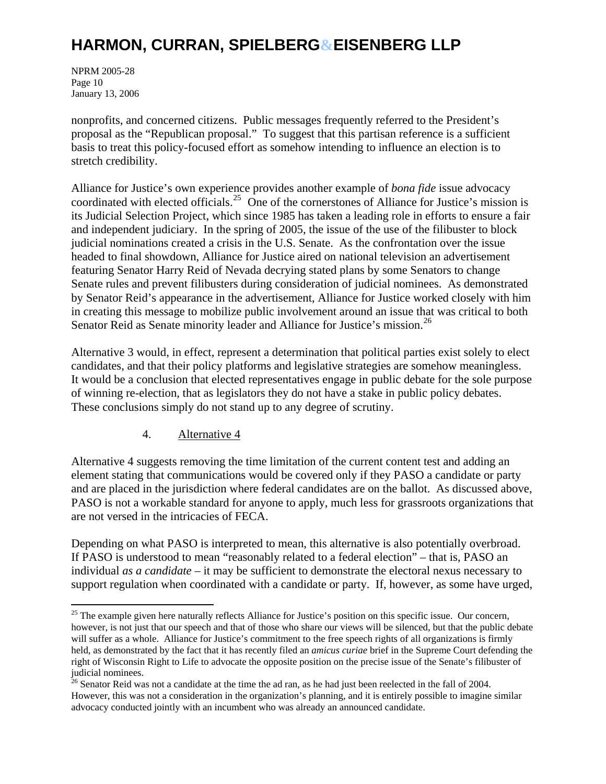NPRM 2005-28 Page 10 January 13, 2006

 $\overline{a}$ 

nonprofits, and concerned citizens. Public messages frequently referred to the President's proposal as the "Republican proposal." To suggest that this partisan reference is a sufficient basis to treat this policy-focused effort as somehow intending to influence an election is to stretch credibility.

Alliance for Justice's own experience provides another example of *bona fide* issue advocacy coordinated with elected officials.<sup>[25](#page-9-0)</sup> One of the cornerstones of Alliance for Justice's mission is its Judicial Selection Project, which since 1985 has taken a leading role in efforts to ensure a fair and independent judiciary. In the spring of 2005, the issue of the use of the filibuster to block judicial nominations created a crisis in the U.S. Senate. As the confrontation over the issue headed to final showdown, Alliance for Justice aired on national television an advertisement featuring Senator Harry Reid of Nevada decrying stated plans by some Senators to change Senate rules and prevent filibusters during consideration of judicial nominees. As demonstrated by Senator Reid's appearance in the advertisement, Alliance for Justice worked closely with him in creating this message to mobilize public involvement around an issue that was critical to both Senator Reid as Senate minority leader and Alliance for Justice's mission.<sup>[26](#page-9-1)</sup>

Alternative 3 would, in effect, represent a determination that political parties exist solely to elect candidates, and that their policy platforms and legislative strategies are somehow meaningless. It would be a conclusion that elected representatives engage in public debate for the sole purpose of winning re-election, that as legislators they do not have a stake in public policy debates. These conclusions simply do not stand up to any degree of scrutiny.

#### 4. Alternative 4

Alternative 4 suggests removing the time limitation of the current content test and adding an element stating that communications would be covered only if they PASO a candidate or party and are placed in the jurisdiction where federal candidates are on the ballot. As discussed above, PASO is not a workable standard for anyone to apply, much less for grassroots organizations that are not versed in the intricacies of FECA.

Depending on what PASO is interpreted to mean, this alternative is also potentially overbroad. If PASO is understood to mean "reasonably related to a federal election" – that is, PASO an individual *as a candidate* – it may be sufficient to demonstrate the electoral nexus necessary to support regulation when coordinated with a candidate or party. If, however, as some have urged,

<span id="page-9-0"></span><sup>&</sup>lt;sup>25</sup> The example given here naturally reflects Alliance for Justice's position on this specific issue. Our concern, however, is not just that our speech and that of those who share our views will be silenced, but that the public debate will suffer as a whole. Alliance for Justice's commitment to the free speech rights of all organizations is firmly held, as demonstrated by the fact that it has recently filed an *amicus curiae* brief in the Supreme Court defending the right of Wisconsin Right to Life to advocate the opposite position on the precise issue of the Senate's filibuster of judicial nominees.

<span id="page-9-1"></span><sup>&</sup>lt;sup>26</sup> Senator Reid was not a candidate at the time the ad ran, as he had just been reelected in the fall of 2004. However, this was not a consideration in the organization's planning, and it is entirely possible to imagine similar advocacy conducted jointly with an incumbent who was already an announced candidate.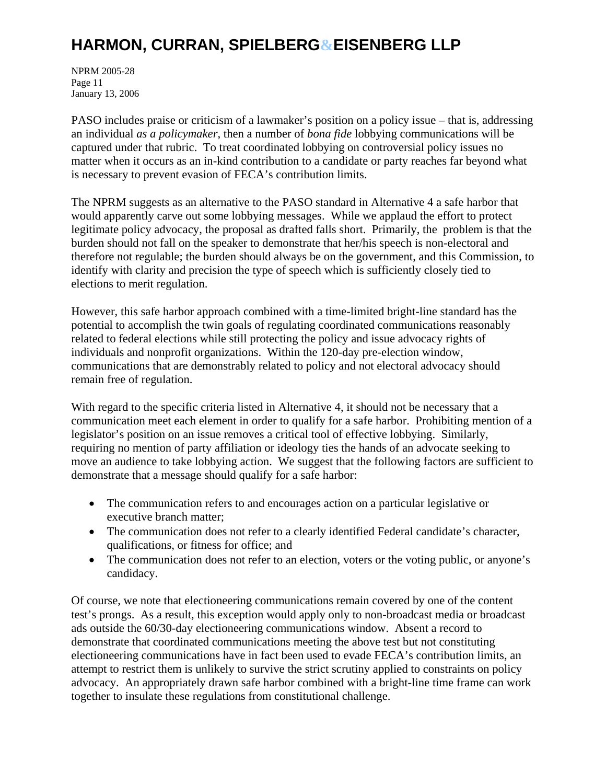NPRM 2005-28 Page 11 January 13, 2006

PASO includes praise or criticism of a lawmaker's position on a policy issue – that is, addressing an individual *as a policymaker*, then a number of *bona fide* lobbying communications will be captured under that rubric. To treat coordinated lobbying on controversial policy issues no matter when it occurs as an in-kind contribution to a candidate or party reaches far beyond what is necessary to prevent evasion of FECA's contribution limits.

The NPRM suggests as an alternative to the PASO standard in Alternative 4 a safe harbor that would apparently carve out some lobbying messages. While we applaud the effort to protect legitimate policy advocacy, the proposal as drafted falls short. Primarily, the problem is that the burden should not fall on the speaker to demonstrate that her/his speech is non-electoral and therefore not regulable; the burden should always be on the government, and this Commission, to identify with clarity and precision the type of speech which is sufficiently closely tied to elections to merit regulation.

However, this safe harbor approach combined with a time-limited bright-line standard has the potential to accomplish the twin goals of regulating coordinated communications reasonably related to federal elections while still protecting the policy and issue advocacy rights of individuals and nonprofit organizations. Within the 120-day pre-election window, communications that are demonstrably related to policy and not electoral advocacy should remain free of regulation.

With regard to the specific criteria listed in Alternative 4, it should not be necessary that a communication meet each element in order to qualify for a safe harbor. Prohibiting mention of a legislator's position on an issue removes a critical tool of effective lobbying. Similarly, requiring no mention of party affiliation or ideology ties the hands of an advocate seeking to move an audience to take lobbying action. We suggest that the following factors are sufficient to demonstrate that a message should qualify for a safe harbor:

- The communication refers to and encourages action on a particular legislative or executive branch matter;
- The communication does not refer to a clearly identified Federal candidate's character, qualifications, or fitness for office; and
- The communication does not refer to an election, voters or the voting public, or anyone's candidacy.

Of course, we note that electioneering communications remain covered by one of the content test's prongs. As a result, this exception would apply only to non-broadcast media or broadcast ads outside the 60/30-day electioneering communications window. Absent a record to demonstrate that coordinated communications meeting the above test but not constituting electioneering communications have in fact been used to evade FECA's contribution limits, an attempt to restrict them is unlikely to survive the strict scrutiny applied to constraints on policy advocacy. An appropriately drawn safe harbor combined with a bright-line time frame can work together to insulate these regulations from constitutional challenge.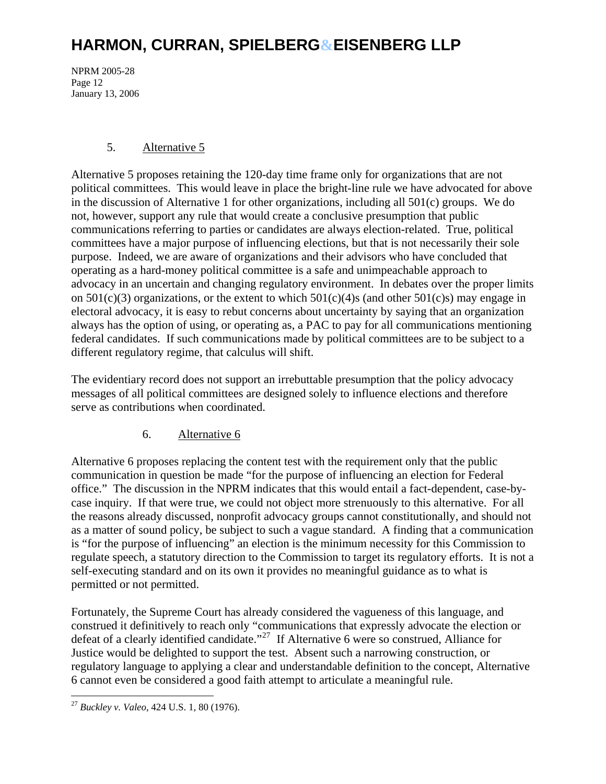NPRM 2005-28 Page 12 January 13, 2006

#### 5. Alternative 5

Alternative 5 proposes retaining the 120-day time frame only for organizations that are not political committees. This would leave in place the bright-line rule we have advocated for above in the discussion of Alternative 1 for other organizations, including all  $501(c)$  groups. We do not, however, support any rule that would create a conclusive presumption that public communications referring to parties or candidates are always election-related. True, political committees have a major purpose of influencing elections, but that is not necessarily their sole purpose. Indeed, we are aware of organizations and their advisors who have concluded that operating as a hard-money political committee is a safe and unimpeachable approach to advocacy in an uncertain and changing regulatory environment. In debates over the proper limits on  $501(c)(3)$  organizations, or the extent to which  $501(c)(4)$ s (and other  $501(c)s$ ) may engage in electoral advocacy, it is easy to rebut concerns about uncertainty by saying that an organization always has the option of using, or operating as, a PAC to pay for all communications mentioning federal candidates. If such communications made by political committees are to be subject to a different regulatory regime, that calculus will shift.

The evidentiary record does not support an irrebuttable presumption that the policy advocacy messages of all political committees are designed solely to influence elections and therefore serve as contributions when coordinated.

### 6. Alternative 6

Alternative 6 proposes replacing the content test with the requirement only that the public communication in question be made "for the purpose of influencing an election for Federal office." The discussion in the NPRM indicates that this would entail a fact-dependent, case-bycase inquiry. If that were true, we could not object more strenuously to this alternative. For all the reasons already discussed, nonprofit advocacy groups cannot constitutionally, and should not as a matter of sound policy, be subject to such a vague standard. A finding that a communication is "for the purpose of influencing" an election is the minimum necessity for this Commission to regulate speech, a statutory direction to the Commission to target its regulatory efforts. It is not a self-executing standard and on its own it provides no meaningful guidance as to what is permitted or not permitted.

Fortunately, the Supreme Court has already considered the vagueness of this language, and construed it definitively to reach only "communications that expressly advocate the election or defeat of a clearly identified candidate."[27](#page-11-0) If Alternative 6 were so construed, Alliance for Justice would be delighted to support the test. Absent such a narrowing construction, or regulatory language to applying a clear and understandable definition to the concept, Alternative 6 cannot even be considered a good faith attempt to articulate a meaningful rule.

<span id="page-11-0"></span> $\overline{a}$ <sup>27</sup> *Buckley v. Valeo*, 424 U.S. 1, 80 (1976).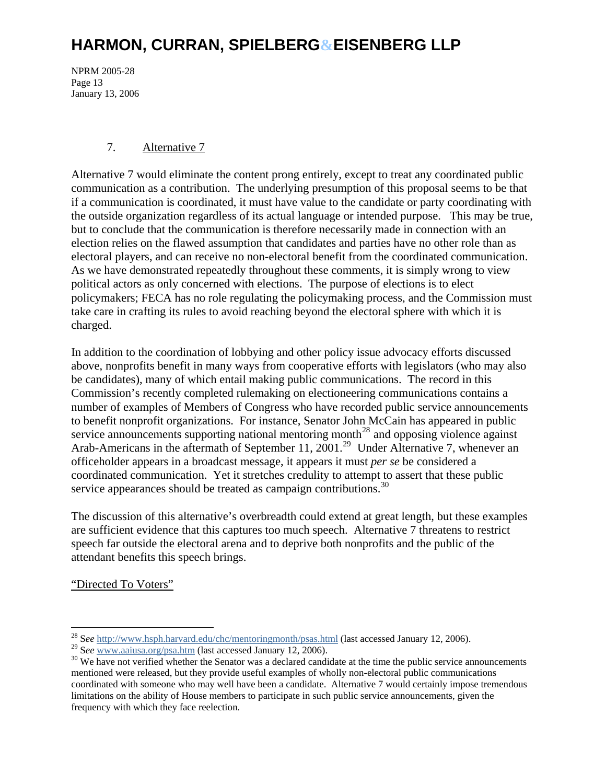NPRM 2005-28 Page 13 January 13, 2006

#### 7. Alternative 7

Alternative 7 would eliminate the content prong entirely, except to treat any coordinated public communication as a contribution. The underlying presumption of this proposal seems to be that if a communication is coordinated, it must have value to the candidate or party coordinating with the outside organization regardless of its actual language or intended purpose. This may be true, but to conclude that the communication is therefore necessarily made in connection with an election relies on the flawed assumption that candidates and parties have no other role than as electoral players, and can receive no non-electoral benefit from the coordinated communication. As we have demonstrated repeatedly throughout these comments, it is simply wrong to view political actors as only concerned with elections. The purpose of elections is to elect policymakers; FECA has no role regulating the policymaking process, and the Commission must take care in crafting its rules to avoid reaching beyond the electoral sphere with which it is charged.

In addition to the coordination of lobbying and other policy issue advocacy efforts discussed above, nonprofits benefit in many ways from cooperative efforts with legislators (who may also be candidates), many of which entail making public communications. The record in this Commission's recently completed rulemaking on electioneering communications contains a number of examples of Members of Congress who have recorded public service announcements to benefit nonprofit organizations. For instance, Senator John McCain has appeared in public service announcements supporting national mentoring month<sup>[28](#page-12-0)</sup> and opposing violence against Arab-Americans in the aftermath of September 11, 2001.<sup>[29](#page-12-1)</sup> Under Alternative 7, whenever an officeholder appears in a broadcast message, it appears it must *per se* be considered a coordinated communication. Yet it stretches credulity to attempt to assert that these public service appearances should be treated as campaign contributions.<sup>[30](#page-12-2)</sup>

The discussion of this alternative's overbreadth could extend at great length, but these examples are sufficient evidence that this captures too much speech. Alternative 7 threatens to restrict speech far outside the electoral arena and to deprive both nonprofits and the public of the attendant benefits this speech brings.

"Directed To Voters"

<sup>28</sup> S*ee* <http://www.hsph.harvard.edu/chc/mentoringmonth/psas.html>(last accessed January 12, 2006).

<span id="page-12-2"></span><span id="page-12-1"></span><span id="page-12-0"></span><sup>&</sup>lt;sup>29</sup> See [www.aaiusa.org/psa.htm](http://www.aaiusa.org/psa.htm) (last accessed January 12, 2006).<br><sup>30</sup> We have not verified whether the Senator was a declared candidate at the time the public service announcements mentioned were released, but they provide useful examples of wholly non-electoral public communications coordinated with someone who may well have been a candidate. Alternative 7 would certainly impose tremendous limitations on the ability of House members to participate in such public service announcements, given the frequency with which they face reelection.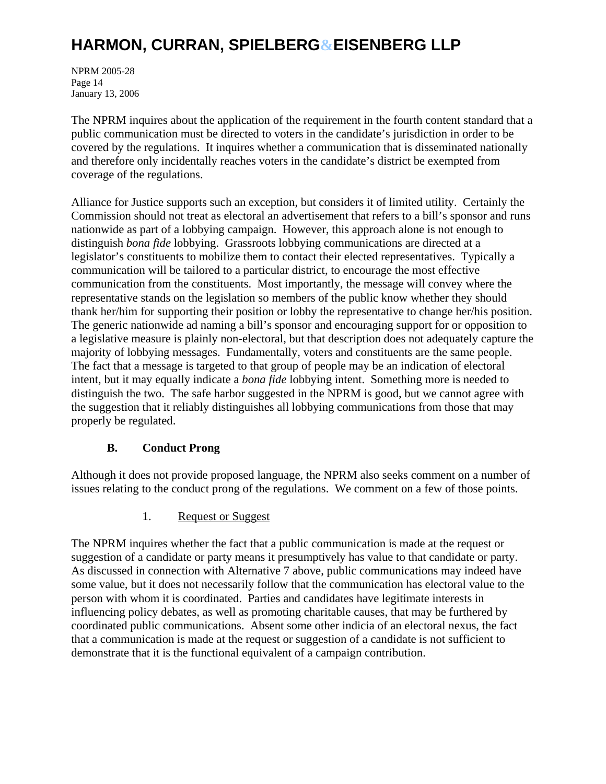NPRM 2005-28 Page 14 January 13, 2006

The NPRM inquires about the application of the requirement in the fourth content standard that a public communication must be directed to voters in the candidate's jurisdiction in order to be covered by the regulations. It inquires whether a communication that is disseminated nationally and therefore only incidentally reaches voters in the candidate's district be exempted from coverage of the regulations.

Alliance for Justice supports such an exception, but considers it of limited utility. Certainly the Commission should not treat as electoral an advertisement that refers to a bill's sponsor and runs nationwide as part of a lobbying campaign. However, this approach alone is not enough to distinguish *bona fide* lobbying. Grassroots lobbying communications are directed at a legislator's constituents to mobilize them to contact their elected representatives. Typically a communication will be tailored to a particular district, to encourage the most effective communication from the constituents. Most importantly, the message will convey where the representative stands on the legislation so members of the public know whether they should thank her/him for supporting their position or lobby the representative to change her/his position. The generic nationwide ad naming a bill's sponsor and encouraging support for or opposition to a legislative measure is plainly non-electoral, but that description does not adequately capture the majority of lobbying messages. Fundamentally, voters and constituents are the same people. The fact that a message is targeted to that group of people may be an indication of electoral intent, but it may equally indicate a *bona fide* lobbying intent. Something more is needed to distinguish the two. The safe harbor suggested in the NPRM is good, but we cannot agree with the suggestion that it reliably distinguishes all lobbying communications from those that may properly be regulated.

### **B. Conduct Prong**

Although it does not provide proposed language, the NPRM also seeks comment on a number of issues relating to the conduct prong of the regulations. We comment on a few of those points.

1. Request or Suggest

The NPRM inquires whether the fact that a public communication is made at the request or suggestion of a candidate or party means it presumptively has value to that candidate or party. As discussed in connection with Alternative 7 above, public communications may indeed have some value, but it does not necessarily follow that the communication has electoral value to the person with whom it is coordinated. Parties and candidates have legitimate interests in influencing policy debates, as well as promoting charitable causes, that may be furthered by coordinated public communications. Absent some other indicia of an electoral nexus, the fact that a communication is made at the request or suggestion of a candidate is not sufficient to demonstrate that it is the functional equivalent of a campaign contribution.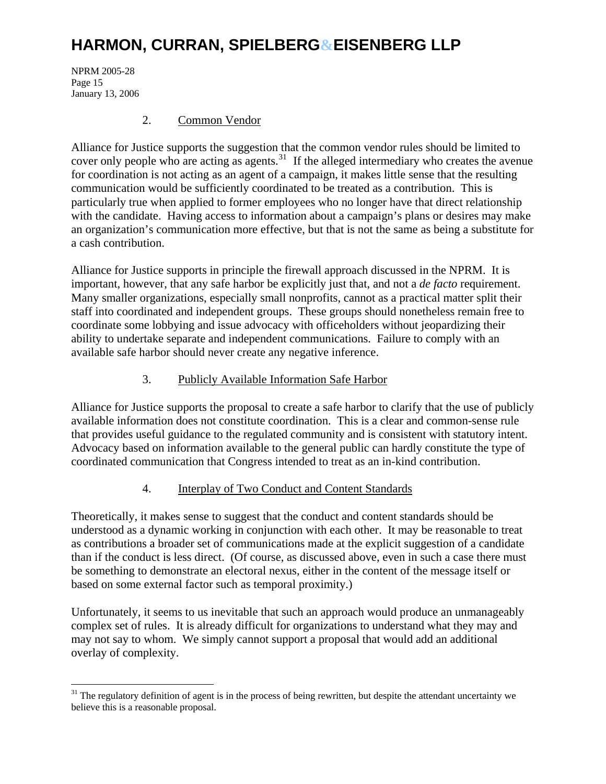NPRM 2005-28 Page 15 January 13, 2006

 $\overline{a}$ 

#### 2. Common Vendor

Alliance for Justice supports the suggestion that the common vendor rules should be limited to cover only people who are acting as agents.<sup>[31](#page-14-0)</sup> If the alleged intermediary who creates the avenue for coordination is not acting as an agent of a campaign, it makes little sense that the resulting communication would be sufficiently coordinated to be treated as a contribution. This is particularly true when applied to former employees who no longer have that direct relationship with the candidate. Having access to information about a campaign's plans or desires may make an organization's communication more effective, but that is not the same as being a substitute for a cash contribution.

Alliance for Justice supports in principle the firewall approach discussed in the NPRM. It is important, however, that any safe harbor be explicitly just that, and not a *de facto* requirement. Many smaller organizations, especially small nonprofits, cannot as a practical matter split their staff into coordinated and independent groups. These groups should nonetheless remain free to coordinate some lobbying and issue advocacy with officeholders without jeopardizing their ability to undertake separate and independent communications. Failure to comply with an available safe harbor should never create any negative inference.

#### 3. Publicly Available Information Safe Harbor

Alliance for Justice supports the proposal to create a safe harbor to clarify that the use of publicly available information does not constitute coordination. This is a clear and common-sense rule that provides useful guidance to the regulated community and is consistent with statutory intent. Advocacy based on information available to the general public can hardly constitute the type of coordinated communication that Congress intended to treat as an in-kind contribution.

#### 4. Interplay of Two Conduct and Content Standards

Theoretically, it makes sense to suggest that the conduct and content standards should be understood as a dynamic working in conjunction with each other. It may be reasonable to treat as contributions a broader set of communications made at the explicit suggestion of a candidate than if the conduct is less direct. (Of course, as discussed above, even in such a case there must be something to demonstrate an electoral nexus, either in the content of the message itself or based on some external factor such as temporal proximity.)

Unfortunately, it seems to us inevitable that such an approach would produce an unmanageably complex set of rules. It is already difficult for organizations to understand what they may and may not say to whom. We simply cannot support a proposal that would add an additional overlay of complexity.

<span id="page-14-0"></span> $31$  The regulatory definition of agent is in the process of being rewritten, but despite the attendant uncertainty we believe this is a reasonable proposal.